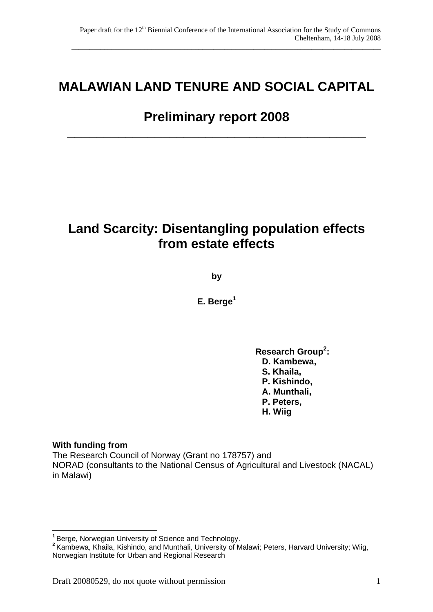# **MALAWIAN LAND TENURE AND SOCIAL CAPITAL**

# **Preliminary report 2008**

**\_\_\_\_\_\_\_\_\_\_\_\_\_\_\_\_\_\_\_\_\_\_\_\_\_\_\_\_\_\_\_\_\_\_\_\_\_\_\_\_\_** 

# **Land Scarcity: Disentangling population effects from estate effects**

**by** 

**E. Berge1** 

Research Group<sup>2</sup>: **D. Kambewa, S. Khaila, P. Kishindo, A. Munthali, P. Peters, H. Wiig**

#### **With funding from**

The Research Council of Norway (Grant no 178757) and NORAD (consultants to the National Census of Agricultural and Livestock (NACAL) in Malawi)

 $\overline{a}$ **<sup>1</sup>**Berge, Norwegian University of Science and Technology.

**<sup>2</sup>**Kambewa, Khaila, Kishindo, and Munthali, University of Malawi; Peters, Harvard University; Wiig, Norwegian Institute for Urban and Regional Research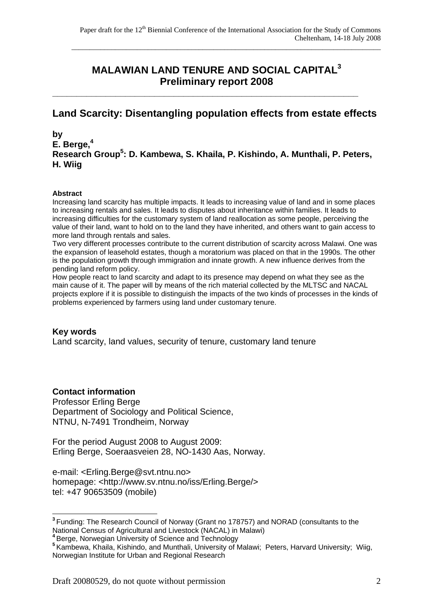# **MALAWIAN LAND TENURE AND SOCIAL CAPITAL<sup>3</sup> Preliminary report 2008**

# **Land Scarcity: Disentangling population effects from estate effects**

**\_\_\_\_\_\_\_\_\_\_\_\_\_\_\_\_\_\_\_\_\_\_\_\_\_\_\_\_\_\_\_\_\_\_\_\_\_\_\_\_\_\_\_\_\_\_\_\_\_\_\_\_\_\_\_\_\_\_\_\_\_\_\_** 

**by E. Berge,<sup>4</sup> Research Group5 : D. Kambewa, S. Khaila, P. Kishindo, A. Munthali, P. Peters, H. Wiig** 

#### **Abstract**

Increasing land scarcity has multiple impacts. It leads to increasing value of land and in some places to increasing rentals and sales. It leads to disputes about inheritance within families. It leads to increasing difficulties for the customary system of land reallocation as some people, perceiving the value of their land, want to hold on to the land they have inherited, and others want to gain access to more land through rentals and sales.

Two very different processes contribute to the current distribution of scarcity across Malawi. One was the expansion of leasehold estates, though a moratorium was placed on that in the 1990s. The other is the population growth through immigration and innate growth. A new influence derives from the pending land reform policy.

How people react to land scarcity and adapt to its presence may depend on what they see as the main cause of it. The paper will by means of the rich material collected by the MLTSC and NACAL projects explore if it is possible to distinguish the impacts of the two kinds of processes in the kinds of problems experienced by farmers using land under customary tenure.

#### **Key words**

 $\overline{a}$ 

Land scarcity, land values, security of tenure, customary land tenure

#### **Contact information**

Professor Erling Berge Department of Sociology and Political Science, NTNU, N-7491 Trondheim, Norway

For the period August 2008 to August 2009: Erling Berge, Soeraasveien 28, NO-1430 Aas, Norway.

e-mail: <Erling.Berge@svt.ntnu.no> homepage: <http://www.sv.ntnu.no/iss/Erling.Berge/> tel: +47 90653509 (mobile)

**<sup>3</sup>**Funding: The Research Council of Norway (Grant no 178757) and NORAD (consultants to the National Census of Agricultural and Livestock (NACAL) in Malawi)

**<sup>4</sup>**Berge, Norwegian University of Science and Technology

**<sup>5</sup>**Kambewa, Khaila, Kishindo, and Munthali, University of Malawi; Peters, Harvard University; Wiig, Norwegian Institute for Urban and Regional Research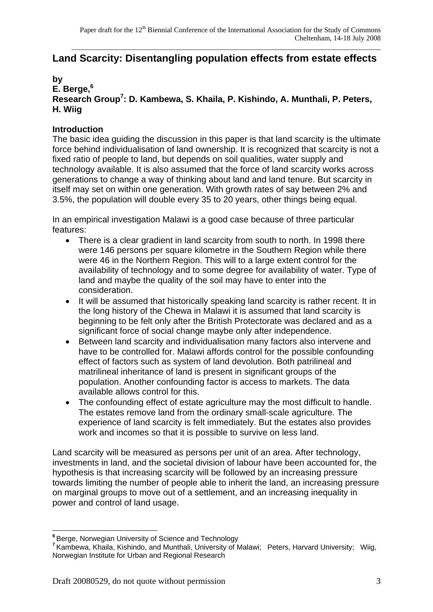# **Land Scarcity: Disentangling population effects from estate effects**

#### **by**

**E. Berge,<sup>6</sup>**

# **Research Group7 : D. Kambewa, S. Khaila, P. Kishindo, A. Munthali, P. Peters, H. Wiig**

# **Introduction**

The basic idea guiding the discussion in this paper is that land scarcity is the ultimate force behind individualisation of land ownership. It is recognized that scarcity is not a fixed ratio of people to land, but depends on soil qualities, water supply and technology available. It is also assumed that the force of land scarcity works across generations to change a way of thinking about land and land tenure. But scarcity in itself may set on within one generation. With growth rates of say between 2% and 3.5%, the population will double every 35 to 20 years, other things being equal.

In an empirical investigation Malawi is a good case because of three particular features:

- There is a clear gradient in land scarcity from south to north. In 1998 there were 146 persons per square kilometre in the Southern Region while there were 46 in the Northern Region. This will to a large extent control for the availability of technology and to some degree for availability of water. Type of land and maybe the quality of the soil may have to enter into the consideration.
- It will be assumed that historically speaking land scarcity is rather recent. It in the long history of the Chewa in Malawi it is assumed that land scarcity is beginning to be felt only after the British Protectorate was declared and as a significant force of social change maybe only after independence.
- Between land scarcity and individualisation many factors also intervene and have to be controlled for. Malawi affords control for the possible confounding effect of factors such as system of land devolution. Both patrilineal and matrilineal inheritance of land is present in significant groups of the population. Another confounding factor is access to markets. The data available allows control for this.
- The confounding effect of estate agriculture may the most difficult to handle. The estates remove land from the ordinary small-scale agriculture. The experience of land scarcity is felt immediately. But the estates also provides work and incomes so that it is possible to survive on less land.

Land scarcity will be measured as persons per unit of an area. After technology, investments in land, and the societal division of labour have been accounted for, the hypothesis is that increasing scarcity will be followed by an increasing pressure towards limiting the number of people able to inherit the land, an increasing pressure on marginal groups to move out of a settlement, and an increasing inequality in power and control of land usage.

 $\overline{a}$ <sup>6</sup> Berge, Norwegian University of Science and Technology

**<sup>7</sup>**Kambewa, Khaila, Kishindo, and Munthali, University of Malawi; Peters, Harvard University; Wiig, Norwegian Institute for Urban and Regional Research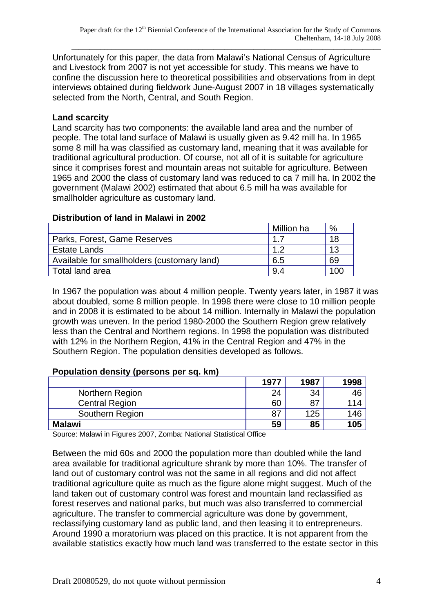Unfortunately for this paper, the data from Malawi's National Census of Agriculture and Livestock from 2007 is not yet accessible for study. This means we have to confine the discussion here to theoretical possibilities and observations from in dept interviews obtained during fieldwork June-August 2007 in 18 villages systematically selected from the North, Central, and South Region.

### **Land scarcity**

Land scarcity has two components: the available land area and the number of people. The total land surface of Malawi is usually given as 9.42 mill ha. In 1965 some 8 mill ha was classified as customary land, meaning that it was available for traditional agricultural production. Of course, not all of it is suitable for agriculture since it comprises forest and mountain areas not suitable for agriculture. Between 1965 and 2000 the class of customary land was reduced to ca 7 mill ha. In 2002 the government (Malawi 2002) estimated that about 6.5 mill ha was available for smallholder agriculture as customary land.

#### **Distribution of land in Malawi in 2002**

|                                             | Million ha | %   |
|---------------------------------------------|------------|-----|
| Parks, Forest, Game Reserves                |            | 18  |
| <b>Estate Lands</b>                         |            | 13  |
| Available for smallholders (customary land) | 6.5        | 69  |
| Total land area                             | 9.4        | 100 |

In 1967 the population was about 4 million people. Twenty years later, in 1987 it was about doubled, some 8 million people. In 1998 there were close to 10 million people and in 2008 it is estimated to be about 14 million. Internally in Malawi the population growth was uneven. In the period 1980-2000 the Southern Region grew relatively less than the Central and Northern regions. In 1998 the population was distributed with 12% in the Northern Region, 41% in the Central Region and 47% in the Southern Region. The population densities developed as follows.

## **Population density (persons per sq. km)**

|                       | 1977 | 1987 | 1998 |
|-----------------------|------|------|------|
| Northern Region       | 24   | 34   | 46   |
| <b>Central Region</b> | 60   | 87   | 114  |
| Southern Region       | 87   | 125  | 146  |
| <b>Malawi</b>         | 59   | 85   | 105  |

Source: Malawi in Figures 2007, Zomba: National Statistical Office

Between the mid 60s and 2000 the population more than doubled while the land area available for traditional agriculture shrank by more than 10%. The transfer of land out of customary control was not the same in all regions and did not affect traditional agriculture quite as much as the figure alone might suggest. Much of the land taken out of customary control was forest and mountain land reclassified as forest reserves and national parks, but much was also transferred to commercial agriculture. The transfer to commercial agriculture was done by government, reclassifying customary land as public land, and then leasing it to entrepreneurs. Around 1990 a moratorium was placed on this practice. It is not apparent from the available statistics exactly how much land was transferred to the estate sector in this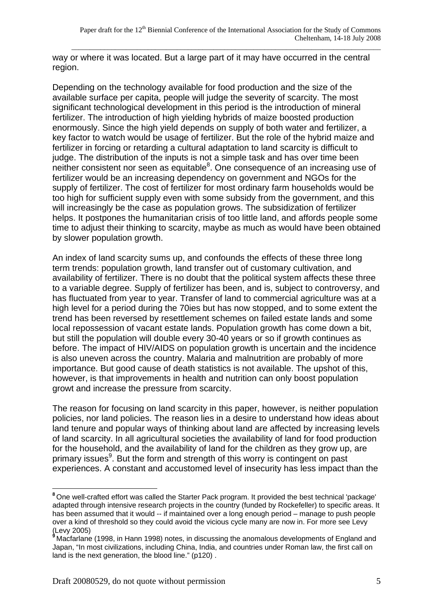way or where it was located. But a large part of it may have occurred in the central region.

Depending on the technology available for food production and the size of the available surface per capita, people will judge the severity of scarcity. The most significant technological development in this period is the introduction of mineral fertilizer. The introduction of high yielding hybrids of maize boosted production enormously. Since the high yield depends on supply of both water and fertilizer, a key factor to watch would be usage of fertilizer. But the role of the hybrid maize and fertilizer in forcing or retarding a cultural adaptation to land scarcity is difficult to judge. The distribution of the inputs is not a simple task and has over time been neither consistent nor seen as equitable ${}^{8}$ . One consequence of an increasing use of fertilizer would be an increasing dependency on government and NGOs for the supply of fertilizer. The cost of fertilizer for most ordinary farm households would be too high for sufficient supply even with some subsidy from the government, and this will increasingly be the case as population grows. The subsidization of fertilizer helps. It postpones the humanitarian crisis of too little land, and affords people some time to adjust their thinking to scarcity, maybe as much as would have been obtained by slower population growth.

An index of land scarcity sums up, and confounds the effects of these three long term trends: population growth, land transfer out of customary cultivation, and availability of fertilizer. There is no doubt that the political system affects these three to a variable degree. Supply of fertilizer has been, and is, subject to controversy, and has fluctuated from year to year. Transfer of land to commercial agriculture was at a high level for a period during the 70ies but has now stopped, and to some extent the trend has been reversed by resettlement schemes on failed estate lands and some local repossession of vacant estate lands. Population growth has come down a bit, but still the population will double every 30-40 years or so if growth continues as before. The impact of HIV/AIDS on population growth is uncertain and the incidence is also uneven across the country. Malaria and malnutrition are probably of more importance. But good cause of death statistics is not available. The upshot of this, however, is that improvements in health and nutrition can only boost population growt and increase the pressure from scarcity.

The reason for focusing on land scarcity in this paper, however, is neither population policies, nor land policies. The reason lies in a desire to understand how ideas about land tenure and popular ways of thinking about land are affected by increasing levels of land scarcity. In all agricultural societies the availability of land for food production for the household, and the availability of land for the children as they grow up, are primary issues<sup>9</sup>. But the form and strength of this worry is contingent on past experiences. A constant and accustomed level of insecurity has less impact than the

 $\overline{a}$ **<sup>8</sup>**One well-crafted effort was called the Starter Pack program. It provided the best technical 'package' adapted through intensive research projects in the country (funded by Rockefeller) to specific areas. It has been assumed that it would -- if maintained over a long enough period – manage to push people over a kind of threshold so they could avoid the vicious cycle many are now in. For more see Levy (Levy 2005)

**<sup>9</sup>**Macfarlane (1998, in Hann 1998) notes, in discussing the anomalous developments of England and Japan, "In most civilizations, including China, India, and countries under Roman law, the first call on land is the next generation, the blood line." (p120) .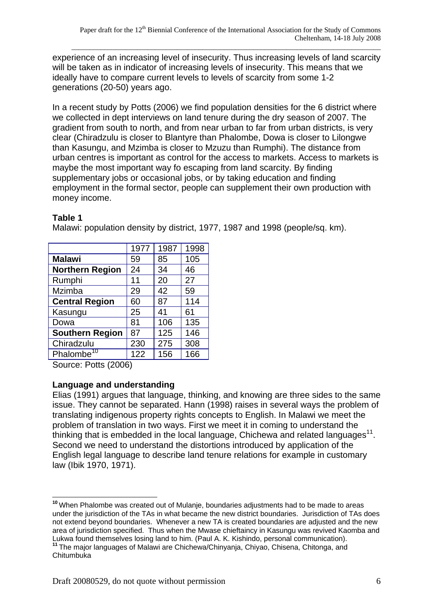experience of an increasing level of insecurity. Thus increasing levels of land scarcity will be taken as in indicator of increasing levels of insecurity. This means that we ideally have to compare current levels to levels of scarcity from some 1-2 generations (20-50) years ago.

In a recent study by Potts (2006) we find population densities for the 6 district where we collected in dept interviews on land tenure during the dry season of 2007. The gradient from south to north, and from near urban to far from urban districts, is very clear (Chiradzulu is closer to Blantyre than Phalombe, Dowa is closer to Lilongwe than Kasungu, and Mzimba is closer to Mzuzu than Rumphi). The distance from urban centres is important as control for the access to markets. Access to markets is maybe the most important way fo escaping from land scarcity. By finding supplementary jobs or occasional jobs, or by taking education and finding employment in the formal sector, people can supplement their own production with money income.

#### **Table 1**

Malawi: population density by district, 1977, 1987 and 1998 (people/sq. km).

|                        | 1977 | 1987 | 1998 |
|------------------------|------|------|------|
| <b>Malawi</b>          | 59   | 85   | 105  |
| <b>Northern Region</b> | 24   | 34   | 46   |
| Rumphi                 | 11   | 20   | 27   |
| Mzimba                 | 29   | 42   | 59   |
| <b>Central Region</b>  | 60   | 87   | 114  |
| Kasungu                | 25   | 41   | 61   |
| Dowa                   | 81   | 106  | 135  |
| <b>Southern Region</b> | 87   | 125  | 146  |
| Chiradzulu             | 230  | 275  | 308  |
| Phalombe <sup>10</sup> | 122  | 156  | 166  |
|                        |      |      |      |

Source: Potts (2006)

## **Language and understanding**

Elias (1991) argues that language, thinking, and knowing are three sides to the same issue. They cannot be separated. Hann (1998) raises in several ways the problem of translating indigenous property rights concepts to English. In Malawi we meet the problem of translation in two ways. First we meet it in coming to understand the thinking that is embedded in the local language, Chichewa and related languages<sup>11</sup>. Second we need to understand the distortions introduced by application of the English legal language to describe land tenure relations for example in customary law (Ibik 1970, 1971).

 $\overline{a}$ **<sup>10</sup>**When Phalombe was created out of Mulanje, boundaries adjustments had to be made to areas under the jurisdiction of the TAs in what became the new district boundaries. Jurisdiction of TAs does not extend beyond boundaries. Whenever a new TA is created boundaries are adjusted and the new area of jurisdiction specified. Thus when the Mwase chieftaincy in Kasungu was revived Kaomba and<br>Lukwa found themselves losing land to him. (Paul A. K. Kishindo, personal communication). <sup>11</sup> The maior languages of Malawi are Chichewa/Chinyanja, Chiyao, Chisena, Chitonga, and Chitumbuka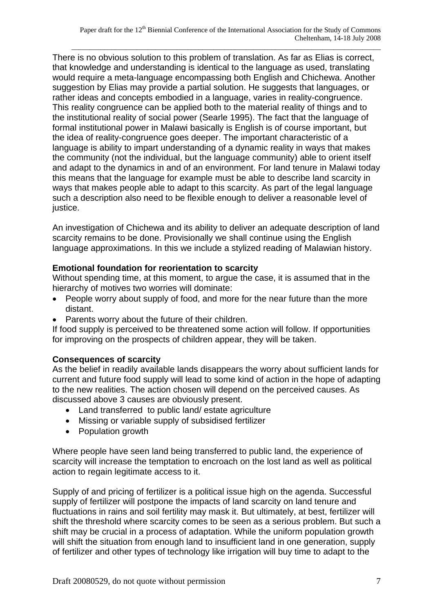There is no obvious solution to this problem of translation. As far as Elias is correct, that knowledge and understanding is identical to the language as used, translating would require a meta-language encompassing both English and Chichewa. Another suggestion by Elias may provide a partial solution. He suggests that languages, or rather ideas and concepts embodied in a language, varies in reality-congruence. This reality congruence can be applied both to the material reality of things and to the institutional reality of social power (Searle 1995). The fact that the language of formal institutional power in Malawi basically is English is of course important, but the idea of reality-congruence goes deeper. The important characteristic of a language is ability to impart understanding of a dynamic reality in ways that makes the community (not the individual, but the language community) able to orient itself and adapt to the dynamics in and of an environment. For land tenure in Malawi today this means that the language for example must be able to describe land scarcity in ways that makes people able to adapt to this scarcity. As part of the legal language such a description also need to be flexible enough to deliver a reasonable level of justice.

An investigation of Chichewa and its ability to deliver an adequate description of land scarcity remains to be done. Provisionally we shall continue using the English language approximations. In this we include a stylized reading of Malawian history.

#### **Emotional foundation for reorientation to scarcity**

Without spending time, at this moment, to argue the case, it is assumed that in the hierarchy of motives two worries will dominate:

- People worry about supply of food, and more for the near future than the more distant.
- Parents worry about the future of their children.

If food supply is perceived to be threatened some action will follow. If opportunities for improving on the prospects of children appear, they will be taken.

## **Consequences of scarcity**

As the belief in readily available lands disappears the worry about sufficient lands for current and future food supply will lead to some kind of action in the hope of adapting to the new realities. The action chosen will depend on the perceived causes. As discussed above 3 causes are obviously present.

- Land transferred to public land/ estate agriculture
- Missing or variable supply of subsidised fertilizer
- Population growth

Where people have seen land being transferred to public land, the experience of scarcity will increase the temptation to encroach on the lost land as well as political action to regain legitimate access to it.

Supply of and pricing of fertilizer is a political issue high on the agenda. Successful supply of fertilizer will postpone the impacts of land scarcity on land tenure and fluctuations in rains and soil fertility may mask it. But ultimately, at best, fertilizer will shift the threshold where scarcity comes to be seen as a serious problem. But such a shift may be crucial in a process of adaptation. While the uniform population growth will shift the situation from enough land to insufficient land in one generation, supply of fertilizer and other types of technology like irrigation will buy time to adapt to the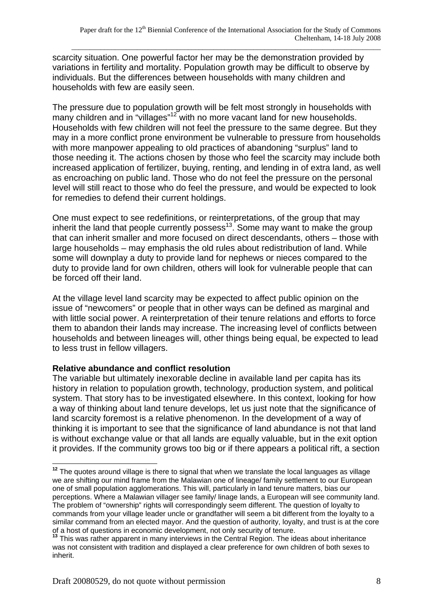scarcity situation. One powerful factor her may be the demonstration provided by variations in fertility and mortality. Population growth may be difficult to observe by individuals. But the differences between households with many children and households with few are easily seen.

The pressure due to population growth will be felt most strongly in households with many children and in "villages"<sup>12</sup> with no more vacant land for new households. Households with few children will not feel the pressure to the same degree. But they may in a more conflict prone environment be vulnerable to pressure from households with more manpower appealing to old practices of abandoning "surplus" land to those needing it. The actions chosen by those who feel the scarcity may include both increased application of fertilizer, buying, renting, and lending in of extra land, as well as encroaching on public land. Those who do not feel the pressure on the personal level will still react to those who do feel the pressure, and would be expected to look for remedies to defend their current holdings.

One must expect to see redefinitions, or reinterpretations, of the group that may inherit the land that people currently possess<sup>13</sup>. Some may want to make the group that can inherit smaller and more focused on direct descendants, others – those with large households – may emphasis the old rules about redistribution of land. While some will downplay a duty to provide land for nephews or nieces compared to the duty to provide land for own children, others will look for vulnerable people that can be forced off their land.

At the village level land scarcity may be expected to affect public opinion on the issue of "newcomers" or people that in other ways can be defined as marginal and with little social power. A reinterpretation of their tenure relations and efforts to force them to abandon their lands may increase. The increasing level of conflicts between households and between lineages will, other things being equal, be expected to lead to less trust in fellow villagers.

## **Relative abundance and conflict resolution**

The variable but ultimately inexorable decline in available land per capita has its history in relation to population growth, technology, production system, and political system. That story has to be investigated elsewhere. In this context, looking for how a way of thinking about land tenure develops, let us just note that the significance of land scarcity foremost is a relative phenomenon. In the development of a way of thinking it is important to see that the significance of land abundance is not that land is without exchange value or that all lands are equally valuable, but in the exit option it provides. If the community grows too big or if there appears a political rift, a section

 $\overline{a}$ **<sup>12</sup>** The quotes around village is there to signal that when we translate the local languages as village we are shifting our mind frame from the Malawian one of lineage/ family settlement to our European one of small population agglomerations. This will, particularly in land tenure matters, bias our perceptions. Where a Malawian villager see family/ linage lands, a European will see community land. The problem of "ownership" rights will correspondingly seem different. The question of loyalty to commands from your village leader uncle or grandfather will seem a bit different from the loyalty to a similar command from an elected mayor. And the question of authority, loyalty, and trust is at the core of a host of questions in economic development, not only security of tenure. **<sup>13</sup>** This was rather apparent in many interviews in the Central Region. The ideas about inheritance

was not consistent with tradition and displayed a clear preference for own children of both sexes to inherit.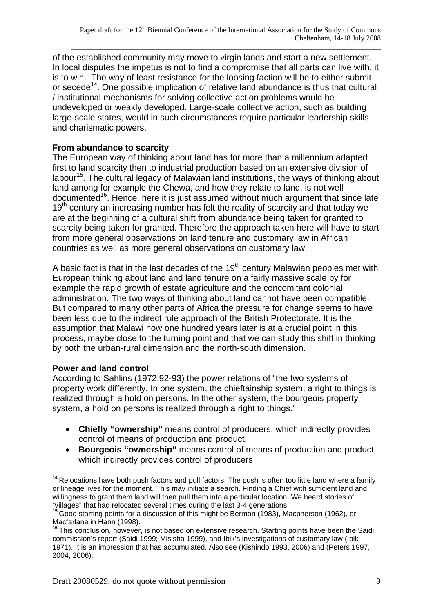of the established community may move to virgin lands and start a new settlement. In local disputes the impetus is not to find a compromise that all parts can live with, it is to win. The way of least resistance for the loosing faction will be to either submit or secede<sup>14</sup>. One possible implication of relative land abundance is thus that cultural / institutional mechanisms for solving collective action problems would be undeveloped or weakly developed. Large-scale collective action, such as building large-scale states, would in such circumstances require particular leadership skills and charismatic powers.

# **From abundance to scarcity**

The European way of thinking about land has for more than a millennium adapted first to land scarcity then to industrial production based on an extensive division of labour<sup>15</sup>. The cultural legacy of Malawian land institutions, the ways of thinking about land among for example the Chewa, and how they relate to land, is not well documented<sup>16</sup>. Hence, here it is just assumed without much argument that since late  $19<sup>th</sup>$  century an increasing number has felt the reality of scarcity and that today we are at the beginning of a cultural shift from abundance being taken for granted to scarcity being taken for granted. Therefore the approach taken here will have to start from more general observations on land tenure and customary law in African countries as well as more general observations on customary law.

A basic fact is that in the last decades of the  $19<sup>th</sup>$  century Malawian peoples met with European thinking about land and land tenure on a fairly massive scale by for example the rapid growth of estate agriculture and the concomitant colonial administration. The two ways of thinking about land cannot have been compatible. But compared to many other parts of Africa the pressure for change seems to have been less due to the indirect rule approach of the British Protectorate. It is the assumption that Malawi now one hundred years later is at a crucial point in this process, maybe close to the turning point and that we can study this shift in thinking by both the urban-rural dimension and the north-south dimension.

## **Power and land control**

According to Sahlins (1972:92-93) the power relations of "the two systems of property work differently. In one system, the chieftainship system, a right to things is realized through a hold on persons. In the other system, the bourgeois property system, a hold on persons is realized through a right to things."

- **Chiefly "ownership"** means control of producers, which indirectly provides control of means of production and product.
- **Bourgeois "ownership"** means control of means of production and product, which indirectly provides control of producers.

 $\overline{a}$ <sup>14</sup> Relocations have both push factors and pull factors. The push is often too little land where a family or lineage lives for the moment. This may initiate a search. Finding a Chief with sufficient land and willingness to grant them land will then pull them into a particular location. We heard stories of "villages" that had relocated several times during the last 3-4 generations.

**<sup>15</sup>**Good starting points for a discussion of this might be Berman (1983), Macpherson (1962), or Macfarlane in Hann (1998).

**<sup>16</sup>**This conclusion, however, is not based on extensive research. Starting points have been the Saidi commission's report (Saidi 1999; Misisha 1999), and Ibik's investigations of customary law (Ibik 1971). It is an impression that has accumulated. Also see (Kishindo 1993, 2006) and (Peters 1997, 2004, 2006).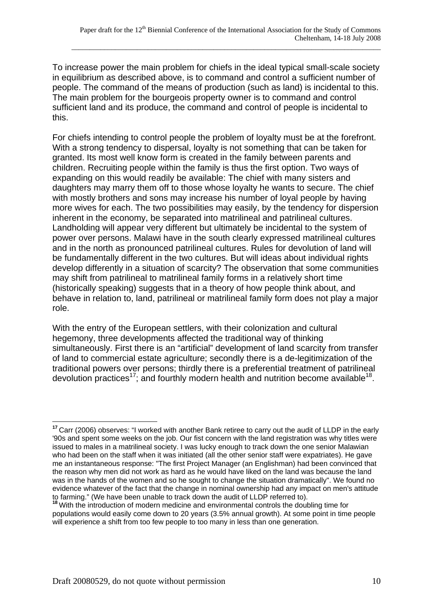To increase power the main problem for chiefs in the ideal typical small-scale society in equilibrium as described above, is to command and control a sufficient number of people. The command of the means of production (such as land) is incidental to this. The main problem for the bourgeois property owner is to command and control sufficient land and its produce, the command and control of people is incidental to this.

For chiefs intending to control people the problem of loyalty must be at the forefront. With a strong tendency to dispersal, loyalty is not something that can be taken for granted. Its most well know form is created in the family between parents and children. Recruiting people within the family is thus the first option. Two ways of expanding on this would readily be available: The chief with many sisters and daughters may marry them off to those whose loyalty he wants to secure. The chief with mostly brothers and sons may increase his number of loyal people by having more wives for each. The two possibilities may easily, by the tendency for dispersion inherent in the economy, be separated into matrilineal and patrilineal cultures. Landholding will appear very different but ultimately be incidental to the system of power over persons. Malawi have in the south clearly expressed matrilineal cultures and in the north as pronounced patrilineal cultures. Rules for devolution of land will be fundamentally different in the two cultures. But will ideas about individual rights develop differently in a situation of scarcity? The observation that some communities may shift from patrilineal to matrilineal family forms in a relatively short time (historically speaking) suggests that in a theory of how people think about, and behave in relation to, land, patrilineal or matrilineal family form does not play a major role.

With the entry of the European settlers, with their colonization and cultural hegemony, three developments affected the traditional way of thinking simultaneously. First there is an "artificial" development of land scarcity from transfer of land to commercial estate agriculture; secondly there is a de-legitimization of the traditional powers over persons; thirdly there is a preferential treatment of patrilineal devolution practices<sup>17</sup>; and fourthly modern health and nutrition become available<sup>18</sup>.

 $\overline{a}$ 

**<sup>17</sup>**Carr (2006) observes: "I worked with another Bank retiree to carry out the audit of LLDP in the early '90s and spent some weeks on the job. Our fist concern with the land registration was why titles were issued to males in a matrilineal society. I was lucky enough to track down the one senior Malawian who had been on the staff when it was initiated (all the other senior staff were expatriates). He gave me an instantaneous response: "The first Project Manager (an Englishman) had been convinced that the reason why men did not work as hard as he would have liked on the land was because the land was in the hands of the women and so he sought to change the situation dramatically". We found no evidence whatever of the fact that the change in nominal ownership had any impact on men's attitude to farming." (We have been unable to track down the audit of LLDP referred to).

**<sup>18</sup>**With the introduction of modern medicine and environmental controls the doubling time for populations would easily come down to 20 years (3.5% annual growth). At some point in time people will experience a shift from too few people to too many in less than one generation.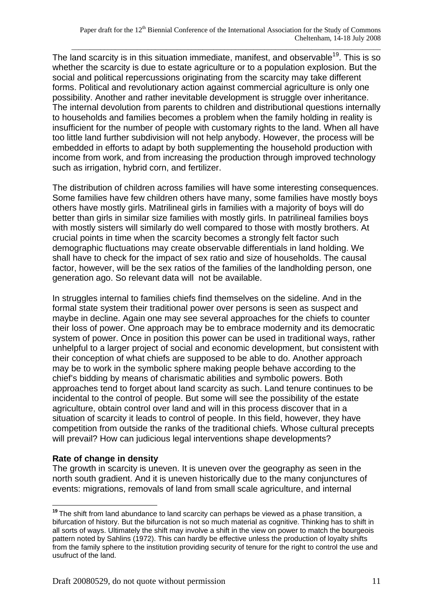The land scarcity is in this situation immediate, manifest, and observable<sup>19</sup>. This is so whether the scarcity is due to estate agriculture or to a population explosion. But the social and political repercussions originating from the scarcity may take different forms. Political and revolutionary action against commercial agriculture is only one possibility. Another and rather inevitable development is struggle over inheritance. The internal devolution from parents to children and distributional questions internally to households and families becomes a problem when the family holding in reality is insufficient for the number of people with customary rights to the land. When all have too little land further subdivision will not help anybody. However, the process will be embedded in efforts to adapt by both supplementing the household production with income from work, and from increasing the production through improved technology such as irrigation, hybrid corn, and fertilizer.

The distribution of children across families will have some interesting consequences. Some families have few children others have many, some families have mostly boys others have mostly girls. Matrilineal girls in families with a majority of boys will do better than girls in similar size families with mostly girls. In patrilineal families boys with mostly sisters will similarly do well compared to those with mostly brothers. At crucial points in time when the scarcity becomes a strongly felt factor such demographic fluctuations may create observable differentials in land holding. We shall have to check for the impact of sex ratio and size of households. The causal factor, however, will be the sex ratios of the families of the landholding person, one generation ago. So relevant data will not be available.

In struggles internal to families chiefs find themselves on the sideline. And in the formal state system their traditional power over persons is seen as suspect and maybe in decline. Again one may see several approaches for the chiefs to counter their loss of power. One approach may be to embrace modernity and its democratic system of power. Once in position this power can be used in traditional ways, rather unhelpful to a larger project of social and economic development, but consistent with their conception of what chiefs are supposed to be able to do. Another approach may be to work in the symbolic sphere making people behave according to the chief's bidding by means of charismatic abilities and symbolic powers. Both approaches tend to forget about land scarcity as such. Land tenure continues to be incidental to the control of people. But some will see the possibility of the estate agriculture, obtain control over land and will in this process discover that in a situation of scarcity it leads to control of people. In this field, however, they have competition from outside the ranks of the traditional chiefs. Whose cultural precepts will prevail? How can judicious legal interventions shape developments?

#### **Rate of change in density**

 $\overline{a}$ 

The growth in scarcity is uneven. It is uneven over the geography as seen in the north south gradient. And it is uneven historically due to the many conjunctures of events: migrations, removals of land from small scale agriculture, and internal

**<sup>19</sup>**The shift from land abundance to land scarcity can perhaps be viewed as a phase transition, a bifurcation of history. But the bifurcation is not so much material as cognitive. Thinking has to shift in all sorts of ways. Ultimately the shift may involve a shift in the view on power to match the bourgeois pattern noted by Sahlins (1972). This can hardly be effective unless the production of loyalty shifts from the family sphere to the institution providing security of tenure for the right to control the use and usufruct of the land.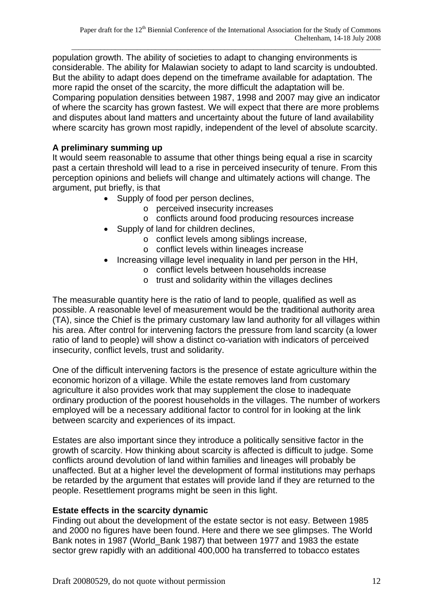population growth. The ability of societies to adapt to changing environments is considerable. The ability for Malawian society to adapt to land scarcity is undoubted. But the ability to adapt does depend on the timeframe available for adaptation. The more rapid the onset of the scarcity, the more difficult the adaptation will be. Comparing population densities between 1987, 1998 and 2007 may give an indicator of where the scarcity has grown fastest. We will expect that there are more problems and disputes about land matters and uncertainty about the future of land availability where scarcity has grown most rapidly, independent of the level of absolute scarcity.

## **A preliminary summing up**

It would seem reasonable to assume that other things being equal a rise in scarcity past a certain threshold will lead to a rise in perceived insecurity of tenure. From this perception opinions and beliefs will change and ultimately actions will change. The argument, put briefly, is that

- Supply of food per person declines,
	- o perceived insecurity increases
	- o conflicts around food producing resources increase
- Supply of land for children declines,
	- o conflict levels among siblings increase,
	- o conflict levels within lineages increase
- Increasing village level inequality in land per person in the HH,
	- o conflict levels between households increase
	- o trust and solidarity within the villages declines

The measurable quantity here is the ratio of land to people, qualified as well as possible. A reasonable level of measurement would be the traditional authority area (TA), since the Chief is the primary customary law land authority for all villages within his area. After control for intervening factors the pressure from land scarcity (a lower ratio of land to people) will show a distinct co-variation with indicators of perceived insecurity, conflict levels, trust and solidarity.

One of the difficult intervening factors is the presence of estate agriculture within the economic horizon of a village. While the estate removes land from customary agriculture it also provides work that may supplement the close to inadequate ordinary production of the poorest households in the villages. The number of workers employed will be a necessary additional factor to control for in looking at the link between scarcity and experiences of its impact.

Estates are also important since they introduce a politically sensitive factor in the growth of scarcity. How thinking about scarcity is affected is difficult to judge. Some conflicts around devolution of land within families and lineages will probably be unaffected. But at a higher level the development of formal institutions may perhaps be retarded by the argument that estates will provide land if they are returned to the people. Resettlement programs might be seen in this light.

#### **Estate effects in the scarcity dynamic**

Finding out about the development of the estate sector is not easy. Between 1985 and 2000 no figures have been found. Here and there we see glimpses. The World Bank notes in 1987 (World\_Bank 1987) that between 1977 and 1983 the estate sector grew rapidly with an additional 400,000 ha transferred to tobacco estates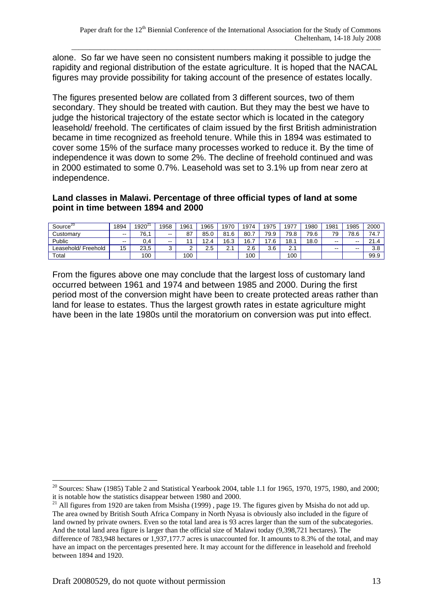alone. So far we have seen no consistent numbers making it possible to judge the rapidity and regional distribution of the estate agriculture. It is hoped that the NACAL figures may provide possibility for taking account of the presence of estates locally.

The figures presented below are collated from 3 different sources, two of them secondary. They should be treated with caution. But they may the best we have to judge the historical trajectory of the estate sector which is located in the category leasehold/ freehold. The certificates of claim issued by the first British administration became in time recognized as freehold tenure. While this in 1894 was estimated to cover some 15% of the surface many processes worked to reduce it. By the time of independence it was down to some 2%. The decline of freehold continued and was in 2000 estimated to some 0.7%. Leasehold was set to 3.1% up from near zero at independence.

#### **Land classes in Malawi. Percentage of three official types of land at some point in time between 1894 and 2000**

| Source $20$         | 1894          | 1920 <sup>2</sup> | 1958            | 1961         | 1965 | 1970 | 1974 | 1975         | 1977     | 1980 | 1981  | 1985  | 2000             |
|---------------------|---------------|-------------------|-----------------|--------------|------|------|------|--------------|----------|------|-------|-------|------------------|
| Customarv           | $\sim$ $\sim$ | 76.1              | $\sim$          | $\sim$<br>o, | 85.0 | 81.6 | 80.1 | 79.9         | 79.8     | 79.6 | 79    | 78.6  | 74.7             |
| Public              | $- -$         | 0.4               | $- -$<br>--     |              | 12.4 | 16.3 | 16.  | $\sim$<br>.6 | 18.      | 18.0 | $- -$ | $- -$ | $\Omega$<br>21.4 |
| ∟easehold/ Freehold | 15            | 23.5              | $\sqrt{2}$<br>ບ | ີ            | 2.5  | ⌒    | 2.6  | 3.6          | $\Omega$ |      | $- -$ | $- -$ | 3.8              |
| Total               |               | 100               |                 | 100          |      |      | 100  |              | 100      |      |       |       | 99.9             |

From the figures above one may conclude that the largest loss of customary land occurred between 1961 and 1974 and between 1985 and 2000. During the first period most of the conversion might have been to create protected areas rather than land for lease to estates. Thus the largest growth rates in estate agriculture might have been in the late 1980s until the moratorium on conversion was put into effect.

 $\overline{a}$ <sup>20</sup> Sources: Shaw (1985) Table 2 and Statistical Yearbook 2004, table 1.1 for 1965, 1970, 1975, 1980, and 2000; it is notable how the statistics disappear between 1980 and 2000.

<sup>&</sup>lt;sup>21</sup> All figures from 1920 are taken from Msisha (1999), page 19. The figures given by Msisha do not add up. The area owned by British South Africa Company in North Nyasa is obviously also included in the figure of land owned by private owners. Even so the total land area is 93 acres larger than the sum of the subcategories. And the total land area figure is larger than the official size of Malawi today (9,398,721 hectares). The difference of 783,948 hectares or 1,937,177.7 acres is unaccounted for. It amounts to 8.3% of the total, and may have an impact on the percentages presented here. It may account for the difference in leasehold and freehold between 1894 and 1920.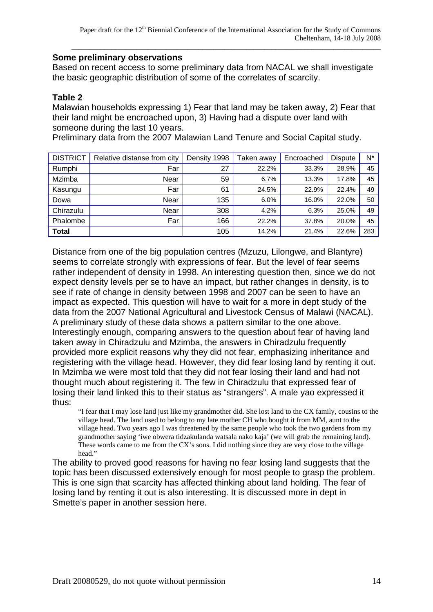#### **Some preliminary observations**

Based on recent access to some preliminary data from NACAL we shall investigate the basic geographic distribution of some of the correlates of scarcity.

### **Table 2**

Malawian households expressing 1) Fear that land may be taken away, 2) Fear that their land might be encroached upon, 3) Having had a dispute over land with someone during the last 10 years.

Preliminary data from the 2007 Malawian Land Tenure and Social Capital study.

| <b>DISTRICT</b> | Relative distanse from city | Density 1998 | Taken away | Encroached | <b>Dispute</b> | $N^*$ |
|-----------------|-----------------------------|--------------|------------|------------|----------------|-------|
| Rumphi          | Far                         | 27           | 22.2%      | 33.3%      | 28.9%          | 45    |
| Mzimba          | Near                        | 59           | 6.7%       | 13.3%      | 17.8%          | 45    |
| Kasungu         | Far                         | 61           | 24.5%      | 22.9%      | 22.4%          | 49    |
| Dowa            | Near                        | 135          | 6.0%       | 16.0%      | 22.0%          | 50    |
| Chirazulu       | Near                        | 308          | 4.2%       | 6.3%       | 25.0%          | 49    |
| Phalombe        | Far                         | 166          | 22.2%      | 37.8%      | 20.0%          | 45    |
| <b>Total</b>    |                             | 105          | 14.2%      | 21.4%      | 22.6%          | 283   |

Distance from one of the big population centres (Mzuzu, Lilongwe, and Blantyre) seems to correlate strongly with expressions of fear. But the level of fear seems rather independent of density in 1998. An interesting question then, since we do not expect density levels per se to have an impact, but rather changes in density, is to see if rate of change in density between 1998 and 2007 can be seen to have an impact as expected. This question will have to wait for a more in dept study of the data from the 2007 National Agricultural and Livestock Census of Malawi (NACAL). A preliminary study of these data shows a pattern similar to the one above. Interestingly enough, comparing answers to the question about fear of having land taken away in Chiradzulu and Mzimba, the answers in Chiradzulu frequently provided more explicit reasons why they did not fear, emphasizing inheritance and registering with the village head. However, they did fear losing land by renting it out. In Mzimba we were most told that they did not fear losing their land and had not thought much about registering it. The few in Chiradzulu that expressed fear of losing their land linked this to their status as "strangers". A male yao expressed it thus:

"I fear that I may lose land just like my grandmother did. She lost land to the CX family, cousins to the village head. The land used to belong to my late mother CH who bought it from MM, aunt to the village head. Two years ago I was threatened by the same people who took the two gardens from my grandmother saying 'iwe obwera tidzakulanda watsala nako kaja' (we will grab the remaining land). These words came to me from the CX's sons. I did nothing since they are very close to the village head."

The ability to proved good reasons for having no fear losing land suggests that the topic has been discussed extensively enough for most people to grasp the problem. This is one sign that scarcity has affected thinking about land holding. The fear of losing land by renting it out is also interesting. It is discussed more in dept in Smette's paper in another session here.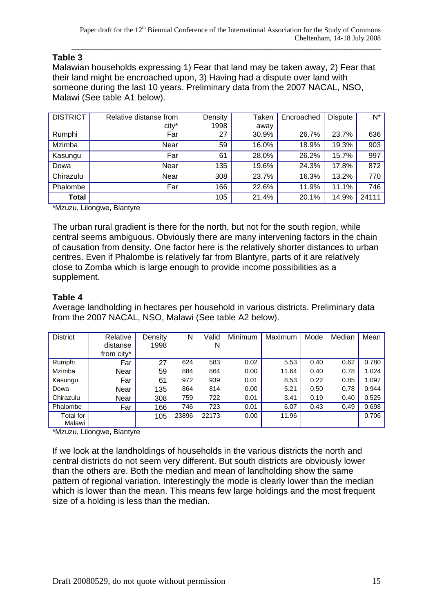# **Table 3**

Malawian households expressing 1) Fear that land may be taken away, 2) Fear that their land might be encroached upon, 3) Having had a dispute over land with someone during the last 10 years. Preliminary data from the 2007 NACAL, NSO, Malawi (See table A1 below).

| <b>DISTRICT</b> | Relative distanse from<br>city* | Density<br>1998 | Taken<br>away | Encroached | <b>Dispute</b> | N*    |
|-----------------|---------------------------------|-----------------|---------------|------------|----------------|-------|
| Rumphi          | Far                             | 27              | 30.9%         | 26.7%      | 23.7%          | 636   |
| Mzimba          | Near                            | 59              | 16.0%         | 18.9%      | 19.3%          | 903   |
| Kasungu         | Far                             | 61              | 28.0%         | 26.2%      | 15.7%          | 997   |
| Dowa            | Near                            | 135             | 19.6%         | 24.3%      | 17.8%          | 872   |
| Chirazulu       | Near                            | 308             | 23.7%         | 16.3%      | 13.2%          | 770   |
| Phalombe        | Far                             | 166             | 22.6%         | 11.9%      | 11.1%          | 746   |
|                 |                                 |                 |               |            |                |       |
| <b>Total</b>    |                                 | 105             | 21.4%         | 20.1%      | 14.9%          | 24111 |

\*Mzuzu, Lilongwe, Blantyre

The urban rural gradient is there for the north, but not for the south region, while central seems ambiguous. Obviously there are many intervening factors in the chain of causation from density. One factor here is the relatively shorter distances to urban centres. Even if Phalombe is relatively far from Blantyre, parts of it are relatively close to Zomba which is large enough to provide income possibilities as a supplement.

## **Table 4**

Average landholding in hectares per household in various districts. Preliminary data from the 2007 NACAL, NSO, Malawi (See table A2 below).

| <b>District</b> | Relative   | Density | N     | Valid | Minimum | Maximum | Mode | Median | Mean  |
|-----------------|------------|---------|-------|-------|---------|---------|------|--------|-------|
|                 | distanse   | 1998    |       | N     |         |         |      |        |       |
|                 | from city* |         |       |       |         |         |      |        |       |
| Rumphi          | Far        | 27      | 624   | 583   | 0.02    | 5.53    | 0.40 | 0.62   | 0.780 |
| Mzimba          | Near       | 59      | 884   | 864   | 0.00    | 11.64   | 0.40 | 0.78   | 1.024 |
| Kasungu         | Far        | 61      | 972   | 939   | 0.01    | 8.53    | 0.22 | 0.85   | 1.097 |
| Dowa            | Near       | 135     | 864   | 814   | 0.00    | 5.21    | 0.50 | 0.78   | 0.944 |
| Chirazulu       | Near       | 308     | 759   | 722   | 0.01    | 3.41    | 0.19 | 0.40   | 0.525 |
| Phalombe        | Far        | 166     | 746   | 723   | 0.01    | 6.07    | 0.43 | 0.49   | 0.698 |
| Total for       |            | 105     | 23896 | 22173 | 0.00    | 11.96   |      |        | 0.706 |
| Malawi          |            |         |       |       |         |         |      |        |       |

\*Mzuzu, Lilongwe, Blantyre

If we look at the landholdings of households in the various districts the north and central districts do not seem very different. But south districts are obviously lower than the others are. Both the median and mean of landholding show the same pattern of regional variation. Interestingly the mode is clearly lower than the median which is lower than the mean. This means few large holdings and the most frequent size of a holding is less than the median.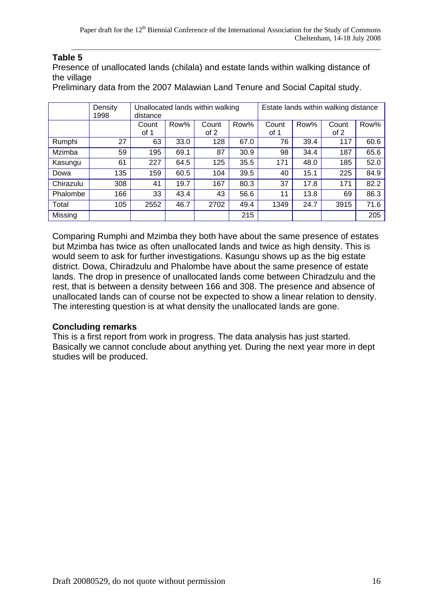# **Table 5**

Presence of unallocated lands (chilala) and estate lands within walking distance of the village

Preliminary data from the 2007 Malawian Land Tenure and Social Capital study.

|           | Density |          |      | Unallocated lands within walking |      |       |      | Estate lands within walking distance |      |
|-----------|---------|----------|------|----------------------------------|------|-------|------|--------------------------------------|------|
|           | 1998    | distance |      |                                  |      |       |      |                                      |      |
|           |         | Count    | Row% | Count                            | Row% | Count | Row% | Count                                | Row% |
|           |         | of 1     |      | of 2                             |      | of 1  |      | of 2                                 |      |
| Rumphi    | 27      | 63       | 33.0 | 128                              | 67.0 | 76    | 39.4 | 117                                  | 60.6 |
| Mzimba    | 59      | 195      | 69.1 | 87                               | 30.9 | 98    | 34.4 | 187                                  | 65.6 |
| Kasungu   | 61      | 227      | 64.5 | 125                              | 35.5 | 171   | 48.0 | 185                                  | 52.0 |
| Dowa      | 135     | 159      | 60.5 | 104                              | 39.5 | 40    | 15.1 | 225                                  | 84.9 |
| Chirazulu | 308     | 41       | 19.7 | 167                              | 80.3 | 37    | 17.8 | 171                                  | 82.2 |
| Phalombe  | 166     | 33       | 43.4 | 43                               | 56.6 | 11    | 13.8 | 69                                   | 86.3 |
| Total     | 105     | 2552     | 46.7 | 2702                             | 49.4 | 1349  | 24.7 | 3915                                 | 71.6 |
| Missing   |         |          |      |                                  | 215  |       |      |                                      | 205  |

Comparing Rumphi and Mzimba they both have about the same presence of estates but Mzimba has twice as often unallocated lands and twice as high density. This is would seem to ask for further investigations. Kasungu shows up as the big estate district. Dowa, Chiradzulu and Phalombe have about the same presence of estate lands. The drop in presence of unallocated lands come between Chiradzulu and the rest, that is between a density between 166 and 308. The presence and absence of unallocated lands can of course not be expected to show a linear relation to density. The interesting question is at what density the unallocated lands are gone.

#### **Concluding remarks**

This is a first report from work in progress. The data analysis has just started. Basically we cannot conclude about anything yet. During the next year more in dept studies will be produced.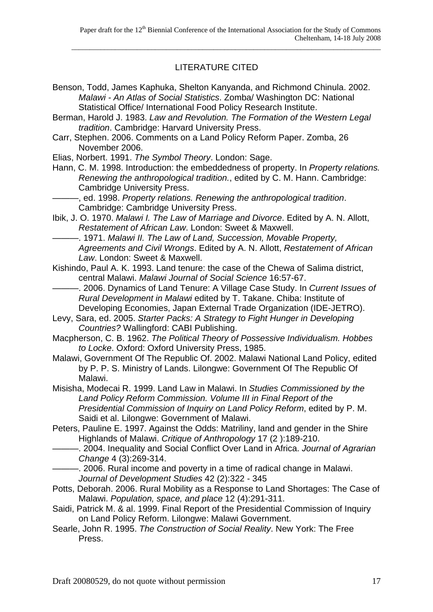# LITERATURE CITED

- Benson, Todd, James Kaphuka, Shelton Kanyanda, and Richmond Chinula. 2002. *Malawi - An Atlas of Social Statistics*. Zomba/ Washington DC: National Statistical Office/ International Food Policy Research Institute.
- Berman, Harold J. 1983. *Law and Revolution. The Formation of the Western Legal tradition*. Cambridge: Harvard University Press.
- Carr, Stephen. 2006. Comments on a Land Policy Reform Paper. Zomba, 26 November 2006.
- Elias, Norbert. 1991. *The Symbol Theory*. London: Sage.
- Hann, C. M. 1998. Introduction: the embeddedness of property. In *Property relations. Renewing the anthropological tradition.*, edited by C. M. Hann. Cambridge: Cambridge University Press.
- ———, ed. 1998. *Property relations. Renewing the anthropological tradition*. Cambridge: Cambridge University Press.
- Ibik, J. O. 1970. *Malawi I. The Law of Marriage and Divorce*. Edited by A. N. Allott, *Restatement of African Law*. London: Sweet & Maxwell.
	- ———. 1971. *Malawi II. The Law of Land, Succession, Movable Property, Agreements and Civil Wrongs*. Edited by A. N. Allott, *Restatement of African Law*. London: Sweet & Maxwell.
- Kishindo, Paul A. K. 1993. Land tenure: the case of the Chewa of Salima district, central Malawi. *Malawi Journal of Social Science* 16:57-67.
- ———. 2006. Dynamics of Land Tenure: A Village Case Study. In *Current Issues of Rural Development in Malawi* edited by T. Takane. Chiba: Institute of Developing Economies, Japan External Trade Organization (IDE-JETRO).
- Levy, Sara, ed. 2005. *Starter Packs: A Strategy to Fight Hunger in Developing Countries?* Wallingford: CABI Publishing.
- Macpherson, C. B. 1962. *The Political Theory of Possessive Individualism. Hobbes to Locke*. Oxford: Oxford University Press, 1985.
- Malawi, Government Of The Republic Of. 2002. Malawi National Land Policy, edited by P. P. S. Ministry of Lands. Lilongwe: Government Of The Republic Of Malawi.
- Misisha, Modecai R. 1999. Land Law in Malawi. In *Studies Commissioned by the Land Policy Reform Commission. Volume III in Final Report of the Presidential Commission of Inquiry on Land Policy Reform*, edited by P. M. Saidi et al. Lilongwe: Government of Malawi.
- Peters, Pauline E. 1997. Against the Odds: Matriliny, land and gender in the Shire Highlands of Malawi. *Critique of Anthropology* 17 (2 ):189-210.
- ———. 2004. Inequality and Social Conflict Over Land in Africa. *Journal of Agrarian Change* 4 (3):269-314.
- –, 2006. Rural income and poverty in a time of radical change in Malawi. *Journal of Development Studies* 42 (2):322 - 345
- Potts, Deborah. 2006. Rural Mobility as a Response to Land Shortages: The Case of Malawi. *Population, space, and place* 12 (4):291-311.
- Saidi, Patrick M. & al. 1999. Final Report of the Presidential Commission of Inquiry on Land Policy Reform. Lilongwe: Malawi Government.
- Searle, John R. 1995. *The Construction of Social Reality*. New York: The Free Press.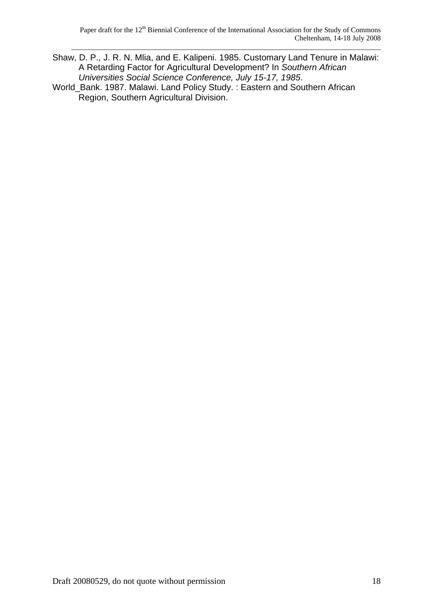- Shaw, D. P., J. R. N. Mlia, and E. Kalipeni. 1985. Customary Land Tenure in Malawi: A Retarding Factor for Agricultural Development? In *Southern African Universities Social Science Conference, July 15-17, 1985*.
- World\_Bank. 1987. Malawi. Land Policy Study. : Eastern and Southern African Region, Southern Agricultural Division.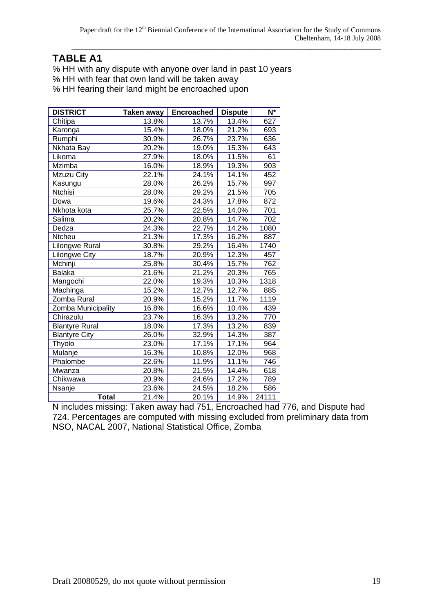# **TABLE A1**

% HH with any dispute with anyone over land in past 10 years

% HH with fear that own land will be taken away

% HH fearing their land might be encroached upon

| <b>DISTRICT</b>       | <b>Taken away</b> | <b>Encroached</b> | <b>Dispute</b> | $N^*$            |
|-----------------------|-------------------|-------------------|----------------|------------------|
| Chitipa               | 13.8%             | 13.7%             | 13.4%          | 627              |
| Karonga               | 15.4%             | 18.0%             | 21.2%          | 693              |
| Rumphi                | 30.9%             | 26.7%             | 23.7%          | 636              |
| Nkhata Bay            | 20.2%             | 19.0%             | 15.3%          | 643              |
| Likoma                | 27.9%             | 18.0%             | 11.5%          | 61               |
| Mzimba                | 16.0%             | 18.9%             | 19.3%          | $\overline{903}$ |
| Mzuzu City            | 22.1%             | 24.1%             | 14.1%          | 452              |
| Kasungu               | 28.0%             | 26.2%             | 15.7%          | 997              |
| Ntchisi               | 28.0%             | 29.2%             | 21.5%          | 705              |
| Dowa                  | 19.6%             | 24.3%             | 17.8%          | 872              |
| Nkhota kota           | 25.7%             | 22.5%             | 14.0%          | 701              |
| Salima                | 20.2%             | 20.8%             | 14.7%          | 702              |
| Dedza                 | 24.3%             | 22.7%             | 14.2%          | 1080             |
| Ntcheu                | 21.3%             | 17.3%             | 16.2%          | 887              |
| <b>Lilongwe Rural</b> | 30.8%             | 29.2%             | 16.4%          | 1740             |
| Lilongwe City         | 18.7%             | 20.9%             | 12.3%          | 457              |
| Mchinji               | 25.8%             | 30.4%             | 15.7%          | 762              |
| <b>Balaka</b>         | 21.6%             | 21.2%             | 20.3%          | 765              |
| Mangochi              | 22.0%             | 19.3%             | 10.3%          | 1318             |
| Machinga              | 15.2%             | 12.7%             | 12.7%          | 885              |
| Zomba Rural           | 20.9%             | 15.2%             | 11.7%          | 1119             |
| Zomba Municipality    | 16.8%             | 16.6%             | 10.4%          | 439              |
| Chirazulu             | 23.7%             | 16.3%             | 13.2%          | 770              |
| <b>Blantyre Rural</b> | 18.0%             | 17.3%             | 13.2%          | 839              |
| <b>Blantyre City</b>  | 26.0%             | 32.9%             | 14.3%          | 387              |
| Thyolo                | 23.0%             | 17.1%             | 17.1%          | 964              |
| Mulanje               | 16.3%             | 10.8%             | 12.0%          | 968              |
| Phalombe              | 22.6%             | 11.9%             | 11.1%          | 746              |
| Mwanza                | 20.8%             | 21.5%             | 14.4%          | 618              |
| Chikwawa              | 20.9%             | 24.6%             | 17.2%          | 789              |
| Nsanje                | 23.6%             | 24.5%             | 18.2%          | 586              |
| <b>Total</b>          | 21.4%             | 20.1%             | 14.9%          | 24111            |

N includes missing: Taken away had 751, Encroached had 776, and Dispute had 724. Percentages are computed with missing excluded from preliminary data from NSO, NACAL 2007, National Statistical Office, Zomba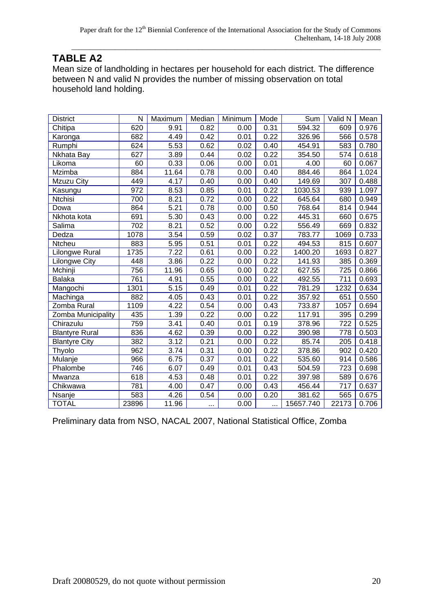# **TABLE A2**

Mean size of landholding in hectares per household for each district. The difference between N and valid N provides the number of missing observation on total household land holding.

| <b>District</b>       | N     | Maximum | Median | Minimum | Mode | Sum       | Valid N | Mean  |
|-----------------------|-------|---------|--------|---------|------|-----------|---------|-------|
| Chitipa               | 620   | 9.91    | 0.82   | 0.00    | 0.31 | 594.32    | 609     | 0.976 |
| Karonga               | 682   | 4.49    | 0.42   | 0.01    | 0.22 | 326.96    | 566     | 0.578 |
| Rumphi                | 624   | 5.53    | 0.62   | 0.02    | 0.40 | 454.91    | 583     | 0.780 |
| Nkhata Bay            | 627   | 3.89    | 0.44   | 0.02    | 0.22 | 354.50    | 574     | 0.618 |
| Likoma                | 60    | 0.33    | 0.06   | 0.00    | 0.01 | 4.00      | 60      | 0.067 |
| Mzimba                | 884   | 11.64   | 0.78   | 0.00    | 0.40 | 884.46    | 864     | 1.024 |
| Mzuzu City            | 449   | 4.17    | 0.40   | 0.00    | 0.40 | 149.69    | 307     | 0.488 |
| Kasungu               | 972   | 8.53    | 0.85   | 0.01    | 0.22 | 1030.53   | 939     | 1.097 |
| Ntchisi               | 700   | 8.21    | 0.72   | 0.00    | 0.22 | 645.64    | 680     | 0.949 |
| Dowa                  | 864   | 5.21    | 0.78   | 0.00    | 0.50 | 768.64    | 814     | 0.944 |
| Nkhota kota           | 691   | 5.30    | 0.43   | 0.00    | 0.22 | 445.31    | 660     | 0.675 |
| Salima                | 702   | 8.21    | 0.52   | 0.00    | 0.22 | 556.49    | 669     | 0.832 |
| Dedza                 | 1078  | 3.54    | 0.59   | 0.02    | 0.37 | 783.77    | 1069    | 0.733 |
| Ntcheu                | 883   | 5.95    | 0.51   | 0.01    | 0.22 | 494.53    | 815     | 0.607 |
| Lilongwe Rural        | 1735  | 7.22    | 0.61   | 0.00    | 0.22 | 1400.20   | 1693    | 0.827 |
| <b>Lilongwe City</b>  | 448   | 3.86    | 0.22   | 0.00    | 0.22 | 141.93    | 385     | 0.369 |
| Mchinji               | 756   | 11.96   | 0.65   | 0.00    | 0.22 | 627.55    | 725     | 0.866 |
| <b>Balaka</b>         | 761   | 4.91    | 0.55   | 0.00    | 0.22 | 492.55    | 711     | 0.693 |
| Mangochi              | 1301  | 5.15    | 0.49   | 0.01    | 0.22 | 781.29    | 1232    | 0.634 |
| Machinga              | 882   | 4.05    | 0.43   | 0.01    | 0.22 | 357.92    | 651     | 0.550 |
| Zomba Rural           | 1109  | 4.22    | 0.54   | 0.00    | 0.43 | 733.87    | 1057    | 0.694 |
| Zomba Municipality    | 435   | 1.39    | 0.22   | 0.00    | 0.22 | 117.91    | 395     | 0.299 |
| Chirazulu             | 759   | 3.41    | 0.40   | 0.01    | 0.19 | 378.96    | 722     | 0.525 |
| <b>Blantyre Rural</b> | 836   | 4.62    | 0.39   | 0.00    | 0.22 | 390.98    | 778     | 0.503 |
| <b>Blantyre City</b>  | 382   | 3.12    | 0.21   | 0.00    | 0.22 | 85.74     | 205     | 0.418 |
| Thyolo                | 962   | 3.74    | 0.31   | 0.00    | 0.22 | 378.86    | 902     | 0.420 |
| Mulanje               | 966   | 6.75    | 0.37   | 0.01    | 0.22 | 535.60    | 914     | 0.586 |
| Phalombe              | 746   | 6.07    | 0.49   | 0.01    | 0.43 | 504.59    | 723     | 0.698 |
| Mwanza                | 618   | 4.53    | 0.48   | 0.01    | 0.22 | 397.98    | 589     | 0.676 |
| Chikwawa              | 781   | 4.00    | 0.47   | 0.00    | 0.43 | 456.44    | 717     | 0.637 |
| Nsanje                | 583   | 4.26    | 0.54   | 0.00    | 0.20 | 381.62    | 565     | 0.675 |
| <b>TOTAL</b>          | 23896 | 11.96   |        | 0.00    |      | 15657.740 | 22173   | 0.706 |

Preliminary data from NSO, NACAL 2007, National Statistical Office, Zomba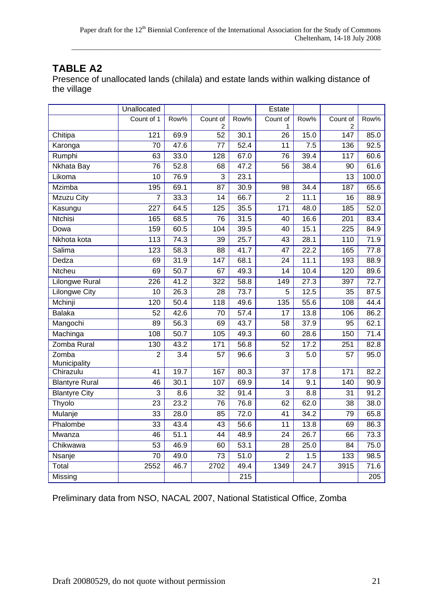# **TABLE A2**

Presence of unallocated lands (chilala) and estate lands within walking distance of the village

|                       | Unallocated      |                   |                  |      | Estate          |                   |                   |                   |
|-----------------------|------------------|-------------------|------------------|------|-----------------|-------------------|-------------------|-------------------|
|                       | Count of 1       | Row%              | Count of         | Row% | Count of        | Row%              | Count of          | Row%              |
|                       |                  |                   | 2                |      | 1               |                   | 2<br>147          |                   |
| Chitipa               | 121              | 69.9              | 52               | 30.1 | $\overline{26}$ | 15.0              |                   | 85.0              |
| Karonga               | 70               | 47.6              | 77               | 52.4 | 11              | 7.5               | 136               | 92.5              |
| Rumphi                | 63               | 33.0              | $\overline{128}$ | 67.0 | $\overline{76}$ | 39.4              | 117               | 60.6              |
| Nkhata Bay            | 76               | 52.8              | 68               | 47.2 | 56              | 38.4              | 90                | 61.6              |
| Likoma                | $\overline{10}$  | 76.9              | $\overline{3}$   | 23.1 |                 |                   | $\overline{13}$   | 100.0             |
| <b>Mzimba</b>         | 195              | 69.1              | 87               | 30.9 | 98              | 34.4              | 187               | 65.6              |
| Mzuzu City            | 7                | 33.3              | 14               | 66.7 | $\overline{2}$  | 11.1              | 16                | 88.9              |
| Kasungu               | 227              | 64.5              | 125              | 35.5 | 171             | 48.0              | 185               | 52.0              |
| Ntchisi               | 165              | 68.5              | 76               | 31.5 | 40              | 16.6              | 201               | 83.4              |
| Dowa                  | 159              | 60.5              | 104              | 39.5 | $\overline{40}$ | 15.1              | $\overline{225}$  | 84.9              |
| Nkhota kota           | 113              | 74.3              | 39               | 25.7 | 43              | 28.1              | 110               | 71.9              |
| Salima                | $\overline{123}$ | 58.3              | 88               | 41.7 | 47              | 22.2              | 165               | 77.8              |
| Dedza                 | 69               | 31.9              | 147              | 68.1 | 24              | 11.1              | 193               | 88.9              |
| Ntcheu                | 69               | 50.7              | 67               | 49.3 | 14              | 10.4              | 120               | 89.6              |
| <b>Lilongwe Rural</b> | $\overline{226}$ | 41.2              | $\overline{322}$ | 58.8 | 149             | 27.3              | 397               | 72.7              |
| <b>Lilongwe City</b>  | $\overline{10}$  | 26.3              | 28               | 73.7 | $\overline{5}$  | 12.5              | 35                | 87.5              |
| Mchinji               | 120              | 50.4              | 118              | 49.6 | 135             | 55.6              | 108               | 44.4              |
| <b>Balaka</b>         | 52               | 42.6              | 70               | 57.4 | 17              | 13.8              | 106               | 86.2              |
| Mangochi              | 89               | 56.3              | 69               | 43.7 | 58              | 37.9              | 95                | 62.1              |
| Machinga              | 108              | 50.7              | 105              | 49.3 | 60              | 28.6              | 150               | 71.4              |
| Zomba Rural           | 130              | 43.2              | 171              | 56.8 | 52              | 17.2              | 251               | 82.8              |
| Zomba                 | $\overline{2}$   | $\overline{3.4}$  | $\overline{57}$  | 96.6 | $\overline{3}$  | $\overline{5.0}$  | $\overline{57}$   | 95.0              |
| Municipality          |                  |                   |                  |      |                 |                   |                   |                   |
| Chirazulu             | $\overline{41}$  | 19.7              | 167              | 80.3 | $\overline{37}$ | 17.8              | $\frac{171}{171}$ | 82.2              |
| <b>Blantyre Rural</b> | 46               | 30.1              | 107              | 69.9 | 14              | 9.1               | 140               | 90.9              |
| <b>Blantyre City</b>  | $\overline{3}$   | 8.6               | $\overline{32}$  | 91.4 | $\overline{3}$  | 8.8               | $\overline{31}$   | 91.2              |
| Thyolo                | 23               | 23.2              | 76               | 76.8 | 62              | 62.0              | 38                | 38.0              |
| Mulanje               | 33               | 28.0              | 85               | 72.0 | 41              | 34.2              | 79                | 65.8              |
| Phalombe              | 33               | 43.4              | 43               | 56.6 | 11              | 13.8              | 69                | 86.3              |
| Mwanza                | 46               | $\overline{51.1}$ | 44               | 48.9 | 24              | 26.7              | 66                | 73.3              |
| Chikwawa              | $\overline{53}$  | 46.9              | 60               | 53.1 | $\overline{28}$ | 25.0              | 84                | 75.0              |
| Nsanje                | 70               | 49.0              | 73               | 51.0 | $\overline{2}$  | 1.5               | 133               | 98.5              |
| Total                 | 2552             | 46.7              | 2702             | 49.4 | 1349            | $\overline{24.7}$ | 3915              | $\overline{71.6}$ |
| Missing               |                  |                   |                  | 215  |                 |                   |                   | 205               |

Preliminary data from NSO, NACAL 2007, National Statistical Office, Zomba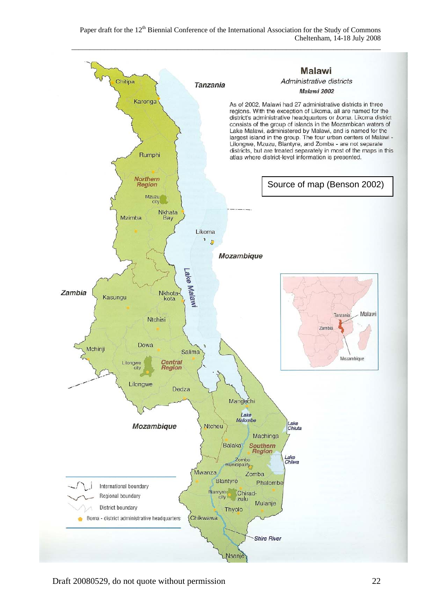Paper draft for the 12<sup>th</sup> Biennial Conference of the International Association for the Study of Commons Cheltenham, 14-18 July 2008